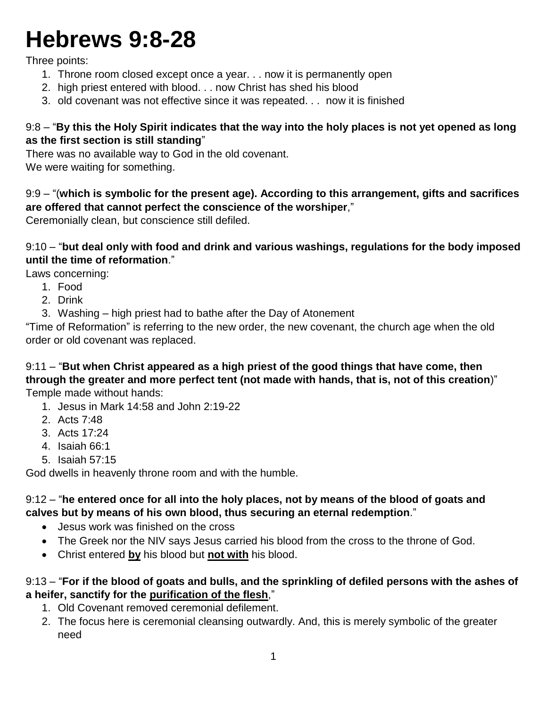# **Hebrews 9:8-28**

Three points:

- 1. Throne room closed except once a year. . . now it is permanently open
- 2. high priest entered with blood. . . now Christ has shed his blood
- 3. old covenant was not effective since it was repeated. . . now it is finished

## 9:8 – "**By this the Holy Spirit indicates that the way into the holy places is not yet opened as long as the first section is still standing**"

There was no available way to God in the old covenant. We were waiting for something.

9:9 – "(**which is symbolic for the present age). According to this arrangement, gifts and sacrifices are offered that cannot perfect the conscience of the worshiper**,"

Ceremonially clean, but conscience still defiled.

9:10 – "**but deal only with food and drink and various washings, regulations for the body imposed until the time of reformation**."

Laws concerning:

- 1. Food
- 2. Drink
- 3. Washing high priest had to bathe after the Day of Atonement

"Time of Reformation" is referring to the new order, the new covenant, the church age when the old order or old covenant was replaced.

9:11 – "**But when Christ appeared as a high priest of the good things that have come, then through the greater and more perfect tent (not made with hands, that is, not of this creation**)" Temple made without hands:

- 1. Jesus in Mark 14:58 and John 2:19-22
- 2. Acts 7:48
- 3. Acts 17:24
- 4. Isaiah 66:1
- 5. Isaiah 57:15

God dwells in heavenly throne room and with the humble.

### 9:12 – "**he entered once for all into the holy places, not by means of the blood of goats and calves but by means of his own blood, thus securing an eternal redemption**."

- Jesus work was finished on the cross
- The Greek nor the NIV says Jesus carried his blood from the cross to the throne of God.
- Christ entered **by** his blood but **not with** his blood.

# 9:13 – "**For if the blood of goats and bulls, and the sprinkling of defiled persons with the ashes of a heifer, sanctify for the purification of the flesh**,"

- 1. Old Covenant removed ceremonial defilement.
- 2. The focus here is ceremonial cleansing outwardly. And, this is merely symbolic of the greater need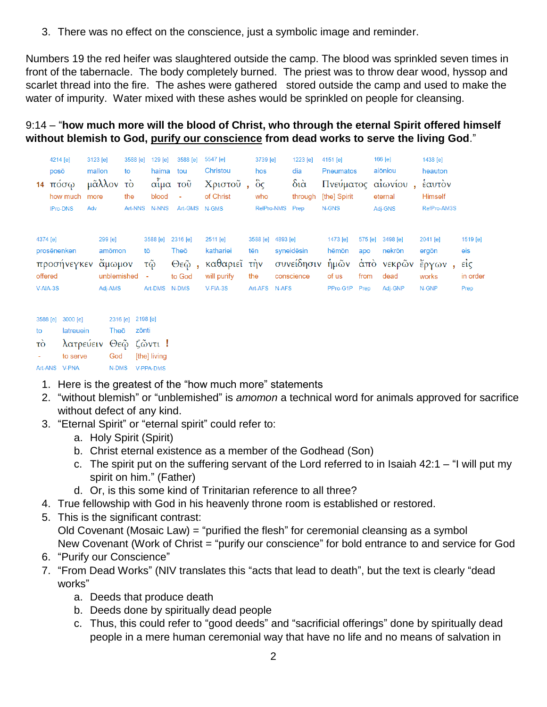3. There was no effect on the conscience, just a symbolic image and reminder.

Numbers 19 the red heifer was slaughtered outside the camp. The blood was sprinkled seven times in front of the tabernacle. The body completely burned. The priest was to throw dear wood, hyssop and scarlet thread into the fire. The ashes were gathered stored outside the camp and used to make the water of impurity. Water mixed with these ashes would be sprinkled on people for cleansing.

## 9:14 – "**how much more will the blood of Christ, who through the eternal Spirit offered himself without blemish to God, purify our conscience from dead works to serve the living God**."

| 4214 [e]<br>posō<br>$14 \text{ πόσω}$<br>how much<br><b>IPro-DNS</b> | 3123 [e]<br>mallon<br>μᾶλλον<br>more<br>Adv           | 3588 [e]<br>to<br>τò<br>the | $129$ [e]<br>haima<br>blood<br>Art-NNS N-NNS    | 3588 [e]<br>tou<br>αἷμα τοῦ<br>$\sim$<br>Art-GMS N-GMS | 5547 [e]<br>Christou<br>Χριστοῦ,<br>of Christ                           | 3739 [e]<br>hos<br>$\partial \hat{G}$<br>who<br>RelPro-NMS |          | 1223 [e]<br>dia<br>$\delta$ ιά<br>through<br>Prep | 4151 [e]<br><b>Pneumatos</b><br>[the] Spirit<br>N-GNS     |                                | 166 [e]<br>aiōniou<br>Πνεύματος αίωνίου<br>eternal<br>Adj-GNS | 1438 [e]<br>heauton<br>έαυτον<br><b>Himself</b><br>RefPro-AM3S |                                                         |
|----------------------------------------------------------------------|-------------------------------------------------------|-----------------------------|-------------------------------------------------|--------------------------------------------------------|-------------------------------------------------------------------------|------------------------------------------------------------|----------|---------------------------------------------------|-----------------------------------------------------------|--------------------------------|---------------------------------------------------------------|----------------------------------------------------------------|---------------------------------------------------------|
| 4374 [e]<br>prosēnenken<br>προσήνεγκεν<br>offered<br>$V-AIA-3S$      | 299 [e]<br>amomon<br>ἄμωμον<br>unblemished<br>Adj-AMS |                             | 3588 [e]<br>tō<br>τῷ<br>$\sim$<br>Art-DMS N-DMS | 2316 [e]<br>Theō<br>to God                             | $2511$ [e]<br>kathariei<br>Θεῷ, καθαριεῖ τὴν<br>will purify<br>V-FIA-3S | 3588 [e]<br>tēn<br>the<br>Art-AFS N-AFS                    | 4893 [e] | syneidesin<br>conscience                          | 1473 [e]<br>hēmōn<br>συνείδησιν ήμῶν<br>of us<br>PPro-G1P | 575 [e]<br>apo<br>from<br>Prep | 3498 [e]<br>nekrōn<br>άπὸ νεκρῶν ἔργων,<br>dead<br>Adj-GNP    | 2041 [e]<br>ergōn<br>works<br>N-GNP                            | 1519 [e]<br>eis<br>$\vec{\epsilon}$<br>in order<br>Prep |
| 3588 [e] 3000 [e]                                                    |                                                       | 2316 [e] 2198 [e]           |                                                 |                                                        |                                                                         |                                                            |          |                                                   |                                                           |                                |                                                               |                                                                |                                                         |

| to             | latreuein             | Theō zōnti |                  |
|----------------|-----------------------|------------|------------------|
| $\vec{10}$     | λατρεύειν Θεῷ ζῶντι ! |            |                  |
| <b>Service</b> | to serve              |            | God [the] living |
| Art-ANS V-PNA  |                       |            | N-DMS V-PPA-DMS  |

- 1. Here is the greatest of the "how much more" statements
- 2. "without blemish" or "unblemished" is *amomon* a technical word for animals approved for sacrifice without defect of any kind.
- 3. "Eternal Spirit" or "eternal spirit" could refer to:
	- a. Holy Spirit (Spirit)
	- b. Christ eternal existence as a member of the Godhead (Son)
	- c. The spirit put on the suffering servant of the Lord referred to in Isaiah 42:1 "I will put my spirit on him." (Father)
	- d. Or, is this some kind of Trinitarian reference to all three?
- 4. True fellowship with God in his heavenly throne room is established or restored.
- 5. This is the significant contrast:

Old Covenant (Mosaic Law) = "purified the flesh" for ceremonial cleansing as a symbol New Covenant (Work of Christ = "purify our conscience" for bold entrance to and service for God

- 6. "Purify our Conscience"
- 7. "From Dead Works" (NIV translates this "acts that lead to death", but the text is clearly "dead works"
	- a. Deeds that produce death
	- b. Deeds done by spiritually dead people
	- c. Thus, this could refer to "good deeds" and "sacrificial offerings" done by spiritually dead people in a mere human ceremonial way that have no life and no means of salvation in